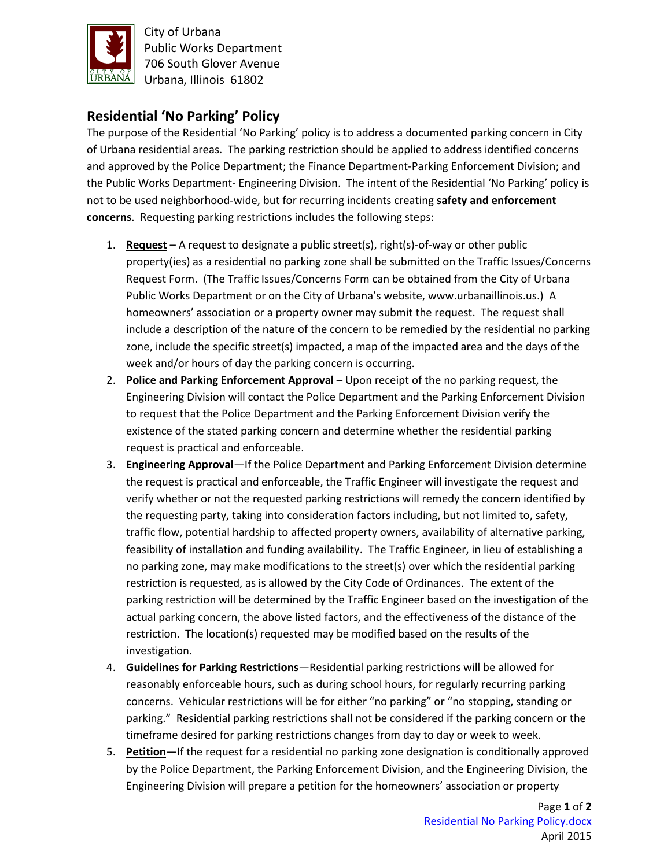

City of Urbana Public Works Department 706 South Glover Avenue Urbana, Illinois 61802

## **Residential 'No Parking' Policy**

The purpose of the Residential 'No Parking' policy is to address a documented parking concern in City of Urbana residential areas. The parking restriction should be applied to address identified concerns and approved by the Police Department; the Finance Department-Parking Enforcement Division; and the Public Works Department- Engineering Division. The intent of the Residential 'No Parking' policy is not to be used neighborhood-wide, but for recurring incidents creating **safety and enforcement concerns**. Requesting parking restrictions includes the following steps:

- 1. **Request** A request to designate a public street(s), right(s)-of-way or other public property(ies) as a residential no parking zone shall be submitted on the Traffic Issues/Concerns Request Form. (The Traffic Issues/Concerns Form can be obtained from the City of Urbana Public Works Department or on the City of Urbana's website, www.urbanaillinois.us.) A homeowners' association or a property owner may submit the request. The request shall include a description of the nature of the concern to be remedied by the residential no parking zone, include the specific street(s) impacted, a map of the impacted area and the days of the week and/or hours of day the parking concern is occurring.
- 2. **Police and Parking Enforcement Approval** Upon receipt of the no parking request, the Engineering Division will contact the Police Department and the Parking Enforcement Division to request that the Police Department and the Parking Enforcement Division verify the existence of the stated parking concern and determine whether the residential parking request is practical and enforceable.
- 3. **Engineering Approval**—If the Police Department and Parking Enforcement Division determine the request is practical and enforceable, the Traffic Engineer will investigate the request and verify whether or not the requested parking restrictions will remedy the concern identified by the requesting party, taking into consideration factors including, but not limited to, safety, traffic flow, potential hardship to affected property owners, availability of alternative parking, feasibility of installation and funding availability. The Traffic Engineer, in lieu of establishing a no parking zone, may make modifications to the street(s) over which the residential parking restriction is requested, as is allowed by the City Code of Ordinances. The extent of the parking restriction will be determined by the Traffic Engineer based on the investigation of the actual parking concern, the above listed factors, and the effectiveness of the distance of the restriction. The location(s) requested may be modified based on the results of the investigation.
- 4. **Guidelines for Parking Restrictions**—Residential parking restrictions will be allowed for reasonably enforceable hours, such as during school hours, for regularly recurring parking concerns. Vehicular restrictions will be for either "no parking" or "no stopping, standing or parking." Residential parking restrictions shall not be considered if the parking concern or the timeframe desired for parking restrictions changes from day to day or week to week.
- 5. **Petition**—If the request for a residential no parking zone designation is conditionally approved by the Police Department, the Parking Enforcement Division, and the Engineering Division, the Engineering Division will prepare a petition for the homeowners' association or property